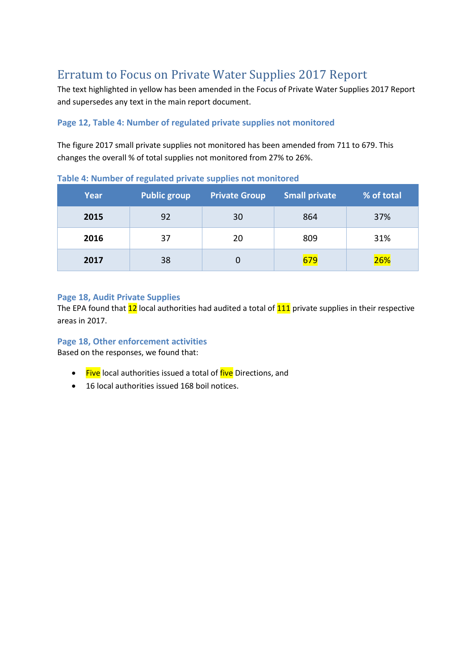# Erratum to Focus on Private Water Supplies 2017 Report

The text highlighted in yellow has been amended in the Focus of Private Water Supplies 2017 Report and supersedes any text in the main report document.

## **Page 12, Table 4: Number of regulated private supplies not monitored**

The figure 2017 small private supplies not monitored has been amended from 711 to 679. This changes the overall % of total supplies not monitored from 27% to 26%.

| Year | Public group | <b>Private Group</b> | <b>Small private</b> | % of total |
|------|--------------|----------------------|----------------------|------------|
| 2015 | 92           | 30                   | 864                  | 37%        |
| 2016 | 37           | 20                   | 809                  | 31%        |
| 2017 | 38           |                      | 679                  | 26%        |

**Table 4: Number of regulated private supplies not monitored**

#### **Page 18, Audit Private Supplies**

The EPA found that  $12$  local authorities had audited a total of  $111$  private supplies in their respective areas in 2017.

### **Page 18, Other enforcement activities**

Based on the responses, we found that:

- Five local authorities issued a total of five Directions, and
- 16 local authorities issued 168 boil notices.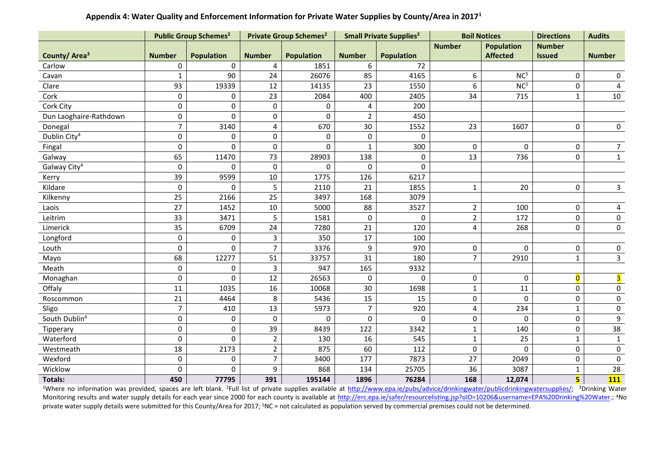|                           |                | <b>Public Group Schemes<sup>2</sup></b> |                  | <b>Private Group Schemes<sup>2</sup></b> |                | <b>Small Private Supplies<sup>2</sup></b> | <b>Boil Notices</b> |                   | <b>Directions</b> | <b>Audits</b>           |
|---------------------------|----------------|-----------------------------------------|------------------|------------------------------------------|----------------|-------------------------------------------|---------------------|-------------------|-------------------|-------------------------|
|                           |                |                                         |                  |                                          |                |                                           | <b>Number</b>       | <b>Population</b> | <b>Number</b>     |                         |
| County/Area <sup>3</sup>  | <b>Number</b>  | <b>Population</b>                       | <b>Number</b>    | <b>Population</b>                        | <b>Number</b>  | <b>Population</b>                         |                     | <b>Affected</b>   | <b>Issued</b>     | <b>Number</b>           |
| Carlow                    | 0              | $\Omega$                                | 4                | 1851                                     | 6              | 72                                        |                     |                   |                   |                         |
| Cavan                     | $\mathbf{1}$   | 90                                      | 24               | 26076                                    | 85             | 4165                                      | 6                   | NC <sup>5</sup>   | $\mathbf 0$       | 0                       |
| Clare                     | 93             | 19339                                   | 12               | 14135                                    | 23             | 1550                                      | 6                   | NC <sup>5</sup>   | 0                 | $\overline{4}$          |
| Cork                      | 0              | 0                                       | 23               | 2084                                     | 400            | 2405                                      | 34                  | 715               | $\mathbf{1}$      | 10                      |
| Cork City                 | 0              | 0                                       | $\boldsymbol{0}$ | 0                                        | 4              | 200                                       |                     |                   |                   |                         |
| Dun Laoghaire-Rathdown    | 0              | 0                                       | $\pmb{0}$        | 0                                        | $\overline{2}$ | 450                                       |                     |                   |                   |                         |
| Donegal                   | $\overline{7}$ | 3140                                    | $\overline{4}$   | 670                                      | 30             | 1552                                      | 23                  | 1607              | 0                 | $\mathbf 0$             |
| Dublin City <sup>4</sup>  | 0              | $\Omega$                                | $\pmb{0}$        | $\mathbf 0$                              | 0              | 0                                         |                     |                   |                   |                         |
| Fingal                    | 0              | $\Omega$                                | $\pmb{0}$        | $\Omega$                                 | $\mathbf{1}$   | 300                                       | $\Omega$            | 0                 | $\mathbf 0$       | 7 <sup>7</sup>          |
| Galway                    | 65             | 11470                                   | 73               | 28903                                    | 138            | $\mathbf 0$                               | 13                  | 736               | 0                 | $\overline{1}$          |
| Galway City <sup>4</sup>  | 0              | $\Omega$                                | $\mathbf 0$      | $\Omega$                                 | $\Omega$       | $\mathbf 0$                               |                     |                   |                   |                         |
| Kerry                     | 39             | 9599                                    | $10\,$           | 1775                                     | 126            | 6217                                      |                     |                   |                   |                         |
| Kildare                   | 0              | 0                                       | 5                | 2110                                     | 21             | 1855                                      | $\mathbf{1}$        | 20                | $\mathbf 0$       | $\mathbf{3}$            |
| Kilkenny                  | 25             | 2166                                    | 25               | 3497                                     | 168            | 3079                                      |                     |                   |                   |                         |
| Laois                     | 27             | 1452                                    | 10               | 5000                                     | 88             | 3527                                      | $\overline{2}$      | 100               | 0                 | 4                       |
| Leitrim                   | 33             | 3471                                    | 5                | 1581                                     | 0              | $\Omega$                                  | $\overline{2}$      | 172               | 0                 | $\mathbf 0$             |
| Limerick                  | 35             | 6709                                    | 24               | 7280                                     | 21             | 120                                       | 4                   | 268               | $\Omega$          | 0                       |
| Longford                  | 0              | 0                                       | $\overline{3}$   | 350                                      | 17             | 100                                       |                     |                   |                   |                         |
| Louth                     | 0              | 0                                       | $\overline{7}$   | 3376                                     | 9              | 970                                       | 0                   | $\pmb{0}$         | 0                 | 0                       |
| Mayo                      | 68             | 12277                                   | 51               | 33757                                    | 31             | 180                                       | $\overline{7}$      | 2910              | $\mathbf{1}$      | $\overline{3}$          |
| Meath                     | 0              | 0                                       | $\mathbf{3}$     | 947                                      | 165            | 9332                                      |                     |                   |                   |                         |
| Monaghan                  | 0              | $\Omega$                                | 12               | 26563                                    | 0              | $\Omega$                                  | 0                   | $\pmb{0}$         | $\overline{0}$    | $\overline{\mathbf{3}}$ |
| Offaly                    | 11             | 1035                                    | 16               | 10068                                    | 30             | 1698                                      | $\mathbf{1}$        | 11                | 0                 | $\mathsf{O}\xspace$     |
| Roscommon                 | 21             | 4464                                    | 8                | 5436                                     | 15             | 15                                        | $\mathbf 0$         | $\Omega$          | 0                 | 0                       |
| Sligo                     | $\overline{7}$ | 410                                     | 13               | 5973                                     | $\overline{7}$ | 920                                       | 4                   | 234               | $\mathbf{1}$      | $\pmb{0}$               |
| South Dublin <sup>4</sup> | 0              | 0                                       | 0                | $\Omega$                                 | 0              | 0                                         | 0                   | $\Omega$          | 0                 | 9                       |
| Tipperary                 | 0              | $\pmb{0}$                               | 39               | 8439                                     | 122            | 3342                                      | $\mathbf{1}$        | 140               | $\mathbf 0$       | 38                      |
| Waterford                 | 0              | $\Omega$                                | $\overline{2}$   | 130                                      | 16             | 545                                       | $\mathbf{1}$        | 25                | $\mathbf{1}$      | $\mathbf{1}$            |
| Westmeath                 | 18             | 2173                                    | $\overline{2}$   | 875                                      | 60             | 112                                       | 0                   | $\Omega$          | $\mathbf 0$       | $\mathbf 0$             |
| Wexford                   | 0              | 0                                       | $\overline{7}$   | 3400                                     | 177            | 7873                                      | 27                  | 2049              | 0                 | 0                       |
| Wicklow                   | 0              | $\Omega$                                | 9                | 868                                      | 134            | 25705                                     | 36                  | 3087              | $\mathbf{1}$      | 28                      |
| <b>Totals:</b>            | 450            | 77795                                   | 391              | 195144                                   | 1896           | 76284                                     | 168                 | 12,074            | 5                 | $111$                   |

## **Appendix 4: Water Quality and Enforcement Information for Private Water Supplies by County/Area in 2017<sup>1</sup>**

<sup>1</sup>Where no information was provided, spaces are left blank. <sup>2</sup>Full list of private supplies available at [http://www.epa.ie/pubs/advice/drinkingwater/publicdrinkingwatersupplies/;](http://www.epa.ie/pubs/advice/drinkingwater/publicdrinkingwatersupplies/) <sup>3</sup>Drinking Water Monitoring results and water supply details for each year since 2000 for each county is available at [http://erc.epa.ie/safer/resourcelisting.jsp?oID=10206&username=EPA%20Drinking%20Water.](http://erc.epa.ie/safer/resourcelisting.jsp?oID=10206&username=EPA%20Drinking%20Water); <sup>4</sup>No private water supply details were submitted for this County/Area for 2017; <sup>5</sup>NC = not calculated as population served by commercial premises could not be determined.